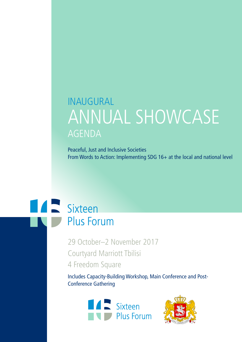# INAUGURAL ANNUAL SHOWCASE AGENDA

Peaceful, Just and Inclusive Societies From Words to Action: Implementing SDG 16+ at the local and national level

# **Alexander Sixteen Plus Forum**

29 October–2 November 2017 Courtyard Marriott Tbilisi 4 Freedom Square

Includes Capacity-Building Workshop, Main Conference and Post-Conference Gathering



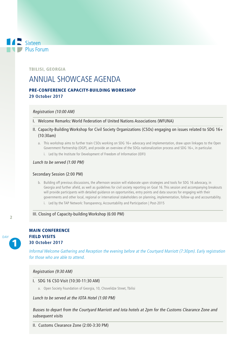# TBILISI, GEORGIA

 $\blacksquare$  Sixteen

Plus Forum

# ANNUAL SHOWCASE AGENDA

# PRE-CONFERENCE CAPACITY-BUILDING WORKSHOP **29 October 2017**

#### Registration (10:00 AM)

- I. Welcome Remarks: World Federation of United Nations Associations (WFUNA)
- II. Capacity-Building Workshop for Civil Society Organizations (CSOs) engaging on issues related to SDG 16+ (10:30am)
	- a. This workshop aims to further train CSOs working on SDG 16+ advocacy and implementation, draw upon linkages to the Open Government Partnership (OGP), and provide an overview of the SDGs nationalization process and SDG 16+, in particular.
		- i. Led by the Institute for Development of Freedom of Information (IDFI)

#### Lunch to be served (1:00 PM)

#### Secondary Session (2:00 PM)

- b. Building off previous discussions, the afternoon session will elaborate upon strategies and tools for SDG 16 advocacy, in Georgia and further afield, as well as guidelines for civil society reporting on Goal 16. This session and accompanying breakouts will provide participants with detailed guidance on opportunities, entry points and data sources for engaging with their governments and other local, regional or international stakeholders on planning, implementation, follow-up and accountability.
	- i. Led by the TAP Network: Transparency, Accountability and Participation | Post-2015

#### III. Closing of Capacity-building Workshop (6:00 PM)



# MAIN CONFERENCE FIELD VISITS **30 October 2017**

Informal Welcome Gathering and Reception the evening before at the Courtyard Marriott (7:30pm). Early registration for those who are able to attend.

#### Registration (9:30 AM)

- I. SDG 16 CSO Visit (10:30-11:30 AM)
	- a. Open Society Foundation of Georgia, 10, Chovelidze Street, Tbilisi

## Lunch to be served at the IOTA Hotel (1:00 PM)

Busses to depart from the Courtyard Marriott and Iota hotels at 2pm for the Customs Clearance Zone and subsequent visits

II. Customs Clearance Zone (2:00-3:30 PM)

# $\overline{2}$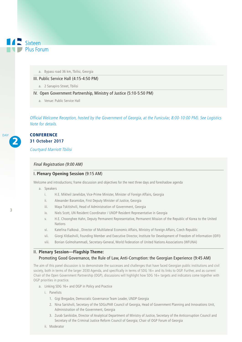- $\blacksquare$  Sixteen Plus Forum
	- a. Bypass road 36 km, Tbilisi, Georgia
	- III. Public Service Hall (4:15-4:50 PM)
		- a. 2 Sanapiro Street, Tbilisi
	- IV. Open Government Partnership, Ministry of Justice (5:10-5:50 PM)
		- a. Venue: Public Service Hall

Official Welcome Reception, hosted by the Government of Georgia, at the Funicular, 8:00-10:00 PM). See Logistics Note for details.

### **CONFERENCE 31 October 2017**

Courtyard Marriott Tbilisi

#### Final Registration (9:00 AM)

#### I. **Plenary Opening Session** (9:15 AM)

Welcome and introductions; frame discussion and objectives for the next three days and foreshadow agenda

a. Speakers

3

2

DAY

- i. H.E. Mikheil Janelidze, Vice-Prime Minister, Minister of Foreign Affairs, Georgia
- ii. Alexander Baramidze, First Deputy Minister of Justice, Georgia
- iii. Maya Tskitishvili, Head of Administration of Government, Georgia
- iv. Niels Scott, UN Resident Coordinator / UNDP Resident Representative in Georgia
- v. H.E. Choonghee Hahn, Deputy Permanent Representative, Permanent Mission of the Republic of Korea to the United Nations
- vi. Kateřina Fialková , Director of Multilateral Economic Affairs, Ministry of Foreign Affairs, Czech Republic
- vii. Giorgi Kldiashvili, Founding Member and Executive Director, Institute for Development of Freedom of Information (IDFI)
- viii. Bonian Golmohammadi, Secretary-General, World Federation of United Nations Associations (WFUNA)

#### II. **Plenary Session—Flagship Theme:**

#### Promoting Good Governance, the Rule of Law, Anti-Corruption: the Georgian Experience (9:45 AM)

The aim of this panel discussion is to demonstrate the successes and challenges that have faced Georgian public institutions and civil society, both in terms of the larger 2030 Agenda, and specifically in terms of SDG 16+ and its links to OGP. Further, and as current Chair of the Open Government Partnership (OGP), discussions will highlight how SDG 16+ targets and indicators come together with OGP priorities in practice.

- a. Linking SDG 16+ and OGP in Policy and Practice
	- i. Panelists
		- 1. Gigi Bregadze, Democratic Governance Team Leader, UNDP Georgia
		- 2. Nina Sarishvili, Secretary of the SDGs/PAR Council of Georgia, Head of Government Planning and Innovations Unit, Administration of the Government, Georgia
		- 3. Zurab Sanikidze, Director of Analytical Department of Ministry of Justice, Secretary of the Anticorruption Council and Secretary of the Criminal Justice Reform Council of Georgia; Chair of OGP Forum of Georgia
	- ii. Moderator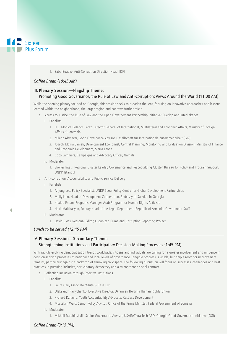

#### 1. Saba Buadze, Anti-Corruption Direction Head, IDFI

#### Coffee Break (10:45 AM)

#### III. **Plenary Session—Flagship Theme**:

#### Promoting Good Governance, the Rule of Law and Anti-corruption: Views Around the World (11:00 AM)

While the opening plenary focused on Georgia, this session seeks to broaden the lens, focusing on innovative approaches and lessons learned within the neighborhood, the larger region and contexts further afield.

- a. Access to Justice, the Rule of Law and the Open Governement Partnership Initiative: Overlap and Interlinkages
	- i. Panelists
		- 1. H.E. Mónica Bolaños Perez, Director General of International, Multilateral and Economic Affairs, Ministry of Foreign Affairs, Guatemala
		- 2. Milena Altmeyer, Good Governance Advisor, Gesellschaft für Internationale Zusammenarbeit (GIZ)
		- 3. Joseph Moina Samah, Development Economist, Central Planning, Monitoring and Evaluation Division, Ministry of Finance and Economic Development, Sierra Leone
		- 4. Coco Lammers, Campaigns and Advocacy Officer, Namati
	- ii. Moderator
		- 1. Shelley Inglis, Regional Cluster Leader, Governance and Peacebuilding Cluster, Bureau for Policy and Program Support, UNDP Istanbul
- b. Anti-corruption, Accountability and Public Service Delivery
	- i. Panelists
		- 1. Ahjung Lee, Policy Specialist, UNDP Seoul Policy Centre for Global Development Partnerships
		- 2. Molly Lien, Head of Development Cooperation, Embassy of Sweden in Georgia
		- 3. Khaled Emam, Programs Manager, Arab Program for Human Rights Activists
		- 4. Hayk Malkhasyan, Deputy Head of the Legal Department, Republic of Armenia, Government Staff

#### ii. Moderator

1. David Bloss, Regional Editor, Organized Crime and Corruption Reporting Project

#### Lunch to be served (12:45 PM)

## IV. **Plenary Session**—**Secondary Theme:**

#### Strengthening Institutions and Participatory Decision-Making Processes (1:45 PM)

With rapidly evolving democratisation trends worldwide, citizens and individuals are calling for a greater involvement and influence in decision-making processes at national and local levels of governance. Tangible progress is visible, but ample room for improvement remains, particularly against a backdrop of shrinking civic space. The following discussion will focus on successes, challenges and best practices in pursuing inclusive, participatory democracy and a strengthened social contract.

- a. Reflecting Inclusion through Effective Institutions
	- i. Panelists
		- 1. Laura Garr, Associate, White & Case LLP
		- 2. Oleksandr Pavlychenko, Executive Director, Ukrainian Helsinki Human Rights Union
		- 3. Richard Dzikunu, Youth Accountability Advocate, Restless Development
		- 4. Mustakim Waid, Senior Policy Advisor, Office of the Prime Minister, Federal Government of Somalia
	- ii. Moderator
		- 1. Mikheil Darchiashvili, Senior Governance Advisor, USAID/Tetra Tech ARD, Georgia Good Governance Initiative (GGI)

#### Coffee Break (3:15 PM)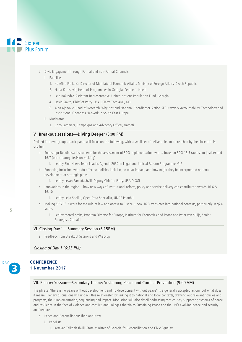# $\blacksquare$  Sixteen Plus Forum

b. Civic Engagement through Formal and non-Formal Channels

#### i. Panelists

- 1. Kateřina Fialková, Director of Multilateral Economic Affairs, Ministry of Foreign Affairs, Czech Republic
- 2. Nana Kurashvili, Head of Programmes in Georgia, People in Need
- 3. Lela Bakradze, Assistant Representative, United Nations Population Fund, Georgia
- 4. David Smith, Chief of Party, USAID/Tetra Tech ARD, GGI
- 5. Aida Ajanovic, Head of Research, Why Not and National Coordinator, Action SEE Network Accountability, Technology and Institutional Openness Network in South East Europe
- ii. Moderator
	- 1. Coco Lammers, Campaigns and Advocacy Officer, Namati

#### V. **Breakout sessions**—**Diving Deeper** (5:00 PM)

Divided into two groups, participants will focus on the following, with a small set of deliverables to be reached by the close of this session:

- a. Snapshopt Readiness: instruments for the assessment of SDG implementation, with a focus on SDG 16.3 (access to justice) and 16.7 (participatory decision-making)
	- i. Led by Sina Heers, Team Leader, Agenda 2030 in Legal and Judicial Reform Programme, GIZ
- b. Ennacting Inclusion: what do effective policies look like, to what impact, and how might they be incorporated national development or strategic plans
	- i. Led by Levan Samadashvili, Deputy Chief of Party, USAID GGI
- c. Innovations in the region how new ways of Institutional reform, policy and service delivery can contribute towards 16.6 & 16.10
	- i. Led by Lejla Sadiku, Open Data Specialist, UNDP Istanbul
- d. Making SDG 16.3 work for the rule of law and access to justice how 16.3 translates into national contexts, particularly in g7+ states
	- i. Led by Marcel Smits, Program Director for Europe, Institute for Economics and Peace and Peter van Sluijs, Senior Strategist, Cordaid

#### VI. Closing Day 1**—**Summary Session (6:15PM)

a. Feedback from Breakout Sessions and Wrap-up

Closing of Day 1 (6:35 PM)



### **CONFERENCE 1 November 2017**

#### VII. Plenary Session**—**Secondary Theme**:** Sustaining Peace and Conflict Prevention (9:00 AM)

The phrase "there is no peace without development and no development without peace" is a generally accepted axiom, but what does it mean? Plenary discussions will unpack this relationship by linking it to national and local contexts, drawing out relevant policies and programs, their implementation, sequencing and impact. Discussion will also detail addressing root causes, supporting systems of peace and resilience in the face of violence and conflict, and linkages therein to Sustaining Peace and the UN's evolving peace and security architecture.

- a. Peace and Reconciliation: Then and Now
	- i. Panelists
		- 1. Ketevan Tsikhelashvili, State Minister of Georgia for Reconciliation and Civic Equality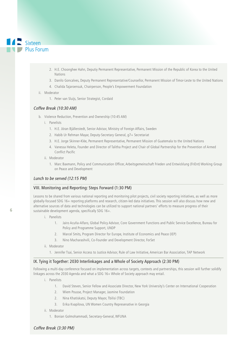

- 2. H.E. Choonghee Hahn, Deputiy Permanent Representative, Permanent Mission of the Republic of Korea to the United Nations
- 3. Danilo Goncalves, Deputy Permanent Representative/Counsellor, Permanent Mission of Timor-Leste to the United Nations
- 4. Chalida Tajaroensuk, Chairperson, People's Empowerment Foundation
- ii. Moderator
	- 1. Peter van Sluijs, Senior Strategist, Cordaid

#### Coffee Break (10:30 AM)

- b. Violence Reduction, Prevention and Ownership (10:45 AM)
	- i. Panelists
		- 1. H.E. Jöran Bjällerstedt, Senior Advisor, Ministry of Foreign Affairs, Sweden
		- 2. Habib Ur Rehman Mayar, Deputy-Secretary General, g7+ Secretariat
		- 3. H.E. Jorge Skinner-Klée, Permanent Representative, Permanent Mission of Guatemala to the United Nations
		- 4. Vanessa Heleta, Founder and Director of Talitha Project and Chair of Global Partnership for the Prevention of Armed Conflict Pacific
	- ii. Moderator
		- 1. Marc Baxmann, Policy and Communication Officer, Arbeitsgemeinschaft Frieden und Entwicklung (FriEnt) Working Group on Peace and Development

## Lunch to be served (12:15 PM)

#### VIII. Monitoring and Reporting: Steps Forward (1:30 PM)

Lessons to be shared from various national reporting and monitoring pilot projects, civil society reporting initiatives, as well as more globally-focused SDG 16+ reporting platforms and research, citizen-led data initiatives. This session will also discuss how new and alternative sources of data and technologies can be utilized to support national partners' efforts to measure progress of their sustainable development agenda, specifically SDG 16+.

- i. Panelists
	- 1. Jairo Acuña-Alfaro, Global Policy Advisor, Core Government Functions and Public Service Excellence, Bureau for Policy and Programme Support, UNDP
	- 2. Marcel Smits, Program Director for Europe, Institute of Economics and Peace (IEP)
	- 3. Nino Macharashvili, Co-Founder and Development Director, ForSet
- ii. Moderator
	- 1. Jennifer Tsai, Senior Access to Justice Advisor, Rule of Law Initiative, American Bar Association, TAP Network

#### IX. Tying it Together: 2030 Interlinkages and a Whole of Society Approach (2:30 PM)

Following a multi-day conference focused on implementation across targets, contexts and partnerships, this session will further solidify linkages across the 2030 Agenda and what a SDG 16+ Whole of Society approach may entail.

- i Panelicte
	- 1. David Steven, Senior Fellow and Associate Director, New York University's Center on International Cooperation
	- 2. Wiem Pousse, Project Manager, Jasmine Foundation
	- 2. Nina Khatiskatsi, Deputy Mayor, Tbilisi (TBC)
	- 3. Erika Kvapilova, UN Women Country Represenative in Georgia
- ii. Moderator
	- 1. Bonian Golmohammadi, Secretary-General, WFUNA